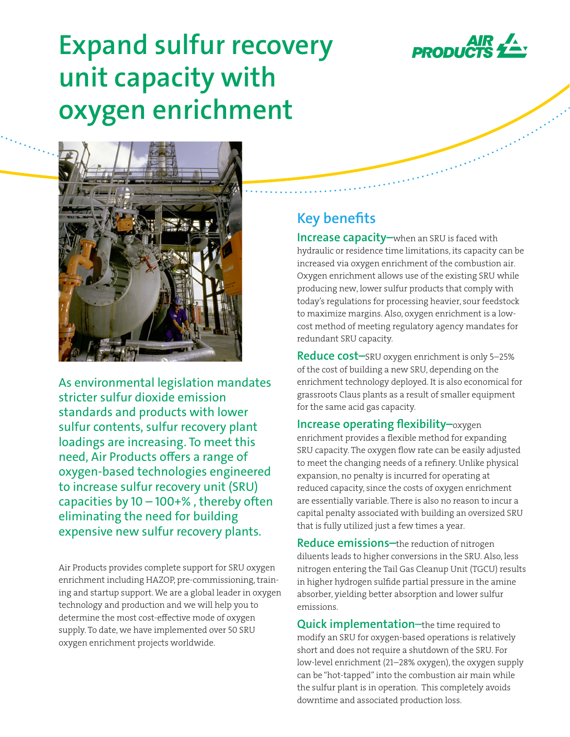

# **Expand sulfur recovery unit capacity with oxygen enrichment**



As environmental legislation mandates stricter sulfur dioxide emission standards and products with lower sulfur contents, sulfur recovery plant loadings are increasing. To meet this need, Air Products offers a range of oxygen-based technologies engineered to increase sulfur recovery unit (SRU) capacities by  $10 - 100 +$ %, thereby often eliminating the need for building expensive new sulfur recovery plants.

Air Products provides complete support for SRU oxygen enrichment including HAZOP, pre-commissioning, training and startup support. We are a global leader in oxygen technology and production and we will help you to determine the most cost-effective mode of oxygen supply. To date, we have implemented over 50 SRU oxygen enrichment projects worldwide.

## **Key benefits**

**Increase capacity–**when an SRU is faced with hydraulic or residence time limitations, its capacity can be increased via oxygen enrichment of the combustion air. Oxygen enrichment allows use of the existing SRU while producing new, lower sulfur products that comply with today's regulations for processing heavier, sour feedstock to maximize margins. Also, oxygen enrichment is a lowcost method of meeting regulatory agency mandates for redundant SRU capacity.

**Reduce cost–**SRU oxygen enrichment is only 5–25% of the cost of building a new SRU, depending on the enrichment technology deployed. It is also economical for grassroots Claus plants as a result of smaller equipment for the same acid gas capacity.

**Increase operating flexibility–**oxygen enrichment provides a flexible method for expanding SRU capacity. The oxygen flow rate can be easily adjusted to meet the changing needs of a refinery. Unlike physical expansion, no penalty is incurred for operating at reduced capacity, since the costs of oxygen enrichment are essentially variable. There is also no reason to incur a capital penalty associated with building an oversized SRU that is fully utilized just a few times a year.

**Reduce emissions–**the reduction of nitrogen diluents leads to higher conversions in the SRU. Also, less nitrogen entering the Tail Gas Cleanup Unit (TGCU) results in higher hydrogen sulfide partial pressure in the amine absorber, yielding better absorption and lower sulfur emissions.

**Quick implementation**–the time required to modify an SRU for oxygen-based operations is relatively short and does not require a shutdown of the SRU. For low-level enrichment (21–28% oxygen), the oxygen supply can be "hot-tapped" into the combustion air main while the sulfur plant is in operation. This completely avoids downtime and associated production loss.